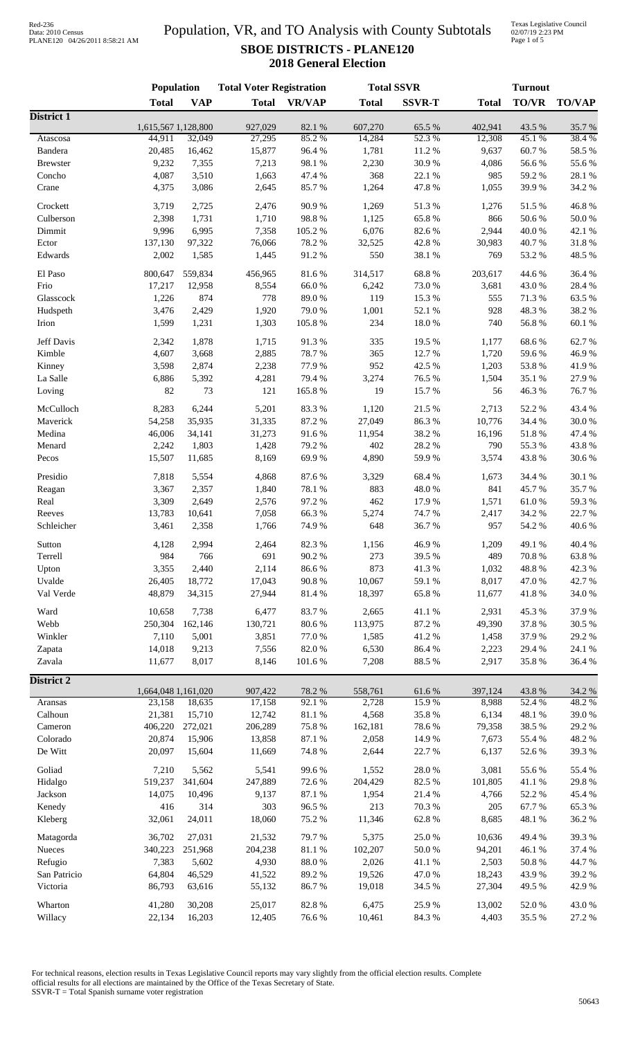### Population, VR, and TO Analysis with County Subtotals **SBOE DISTRICTS - PLANE120 2018 General Election**

Texas Legislative Council 02/07/19 2:23 PM Page 1 of 5

|                   | Population          |                  | <b>Total Voter Registration</b> |                  |                  | <b>Total SSVR</b> | <b>Turnout</b>  |                 |                 |
|-------------------|---------------------|------------------|---------------------------------|------------------|------------------|-------------------|-----------------|-----------------|-----------------|
|                   | <b>Total</b>        | <b>VAP</b>       | <b>Total</b>                    | <b>VR/VAP</b>    | <b>Total</b>     | <b>SSVR-T</b>     | <b>Total</b>    | <b>TO/VR</b>    | <b>TO/VAP</b>   |
| <b>District 1</b> | 1,615,567 1,128,800 |                  | 927,029                         | 82.1 %           | 607,270          | 65.5 %            | 402,941         | 43.5 %          | 35.7%           |
| Atascosa          | 44,911              | 32,049           | 27,295                          | 85.2%            | 14,284           | 52.3 %            | 12,308          | 45.1 %          | 38.4%           |
| Bandera           | 20,485              | 16,462           | 15,877                          | 96.4%            | 1,781            | 11.2 %            | 9,637           | 60.7%           | 58.5%           |
| <b>Brewster</b>   | 9,232               | 7,355            | 7,213                           | 98.1 %           | 2,230            | 30.9%             | 4,086           | 56.6%           | 55.6%           |
| Concho            | 4,087               | 3,510            | 1,663                           | 47.4 %           | 368              | 22.1 %            | 985             | 59.2 %          | 28.1 %          |
| Crane             | 4,375               | 3,086            | 2,645                           | 85.7%            | 1,264            | 47.8%             | 1,055           | 39.9%           | 34.2 %          |
|                   |                     |                  |                                 |                  |                  |                   |                 |                 |                 |
| Crockett          | 3,719               | 2,725            | 2,476                           | 90.9%            | 1,269            | 51.3%             | 1,276           | 51.5%           | 46.8%           |
| Culberson         | 2,398               | 1,731            | 1,710                           | 98.8%            | 1,125            | 65.8%             | 866             | 50.6%<br>40.0%  | 50.0%           |
| Dimmit            | 9,996               | 6,995            | 7,358                           | 105.2%           | 6,076            | 82.6%             | 2,944           |                 | 42.1 %          |
| Ector<br>Edwards  | 137,130<br>2,002    | 97,322<br>1,585  | 76,066<br>1,445                 | 78.2%<br>91.2%   | 32,525<br>550    | 42.8%<br>38.1 %   | 30,983<br>769   | 40.7%<br>53.2 % | 31.8%<br>48.5 % |
|                   |                     |                  |                                 |                  |                  |                   |                 |                 |                 |
| El Paso           | 800,647             | 559,834          | 456,965                         | 81.6%            | 314,517          | 68.8%             | 203,617         | 44.6 %          | 36.4%           |
| Frio              | 17,217              | 12,958           | 8,554                           | 66.0%            | 6,242            | 73.0%             | 3,681           | 43.0%           | 28.4%           |
| Glasscock         | 1,226               | 874              | 778                             | 89.0%            | 119              | 15.3 %            | 555             | 71.3%           | 63.5%           |
| Hudspeth          | 3,476               | 2,429            | 1,920                           | 79.0%            | 1,001            | 52.1 %            | 928             | 48.3%           | 38.2%           |
| Irion             | 1,599               | 1,231            | 1,303                           | 105.8 %          | 234              | $18.0\ \%$        | 740             | 56.8 %          | 60.1%           |
| Jeff Davis        | 2,342               | 1,878            | 1,715                           | 91.3%            | 335              | 19.5 %            | 1,177           | 68.6%           | 62.7%           |
| Kimble            | 4,607               | 3,668            | 2,885                           | 78.7%            | 365              | 12.7%             | 1,720           | 59.6%           | 46.9%           |
| Kinney            | 3,598               | 2,874            | 2,238                           | 77.9%            | 952              | 42.5 %            | 1,203           | 53.8%           | 41.9%           |
| La Salle          | 6,886               | 5,392            | 4,281                           | 79.4%            | 3,274            | 76.5 %            | 1,504           | 35.1 %          | 27.9%           |
| Loving            | 82                  | 73               | 121                             | 165.8%           | 19               | 15.7%             | 56              | 46.3%           | 76.7%           |
|                   |                     |                  |                                 |                  |                  |                   |                 |                 |                 |
| McCulloch         | 8,283               | 6,244            | 5,201                           | 83.3%            | 1,120            | 21.5 %            | 2,713           | 52.2 %          | 43.4 %          |
| Maverick          | 54,258              | 35,935           | 31,335                          | 87.2%            | 27,049           | 86.3%             | 10,776          | 34.4 %          | 30.0%           |
| Medina            | 46,006              | 34,141           | 31,273                          | 91.6%            | 11,954           | 38.2%             | 16,196          | 51.8%           | 47.4 %          |
| Menard            | 2,242               | 1,803            | 1,428                           | 79.2 %           | 402              | 28.2 %            | 790             | 55.3%           | 43.8%           |
| Pecos             | 15,507              | 11,685           | 8,169                           | 69.9%            | 4,890            | 59.9%             | 3,574           | 43.8%           | 30.6%           |
| Presidio          | 7,818               | 5,554            | 4,868                           | 87.6%            | 3,329            | 68.4%             | 1,673           | 34.4 %          | 30.1 %          |
| Reagan            | 3,367               | 2,357            | 1,840                           | 78.1 %           | 883              | 48.0%             | 841             | 45.7%           | 35.7%           |
| Real              | 3,309               | 2,649            | 2,576                           | 97.2%            | 462              | 17.9%             | 1,571           | $61.0\ \%$      | 59.3%           |
| Reeves            | 13,783              | 10,641           | 7,058                           | 66.3%            | 5,274            | 74.7%             | 2,417           | 34.2 %          | 22.7 %          |
| Schleicher        | 3,461               | 2,358            | 1,766                           | 74.9%            | 648              | 36.7%             | 957             | 54.2 %          | 40.6%           |
| Sutton            | 4,128               | 2,994            | 2,464                           | 82.3%            | 1,156            | 46.9%             | 1,209           | 49.1 %          | 40.4 %          |
| Terrell           | 984                 | 766              | 691                             | 90.2%            | 273              | 39.5 %            | 489             | 70.8 %          | 63.8%           |
| Upton             | 3,355               | 2,440            | 2,114                           | 86.6%            | 873              | 41.3%             | 1,032           | 48.8 %          | 42.3 %          |
| Uvalde            | 26,405              | 18,772           | 17,043                          | 90.8%            | 10,067           | 59.1 %            | 8,017           | 47.0%           | 42.7%           |
| Val Verde         | 48,879              | 34,315           | 27,944                          | 81.4%            | 18,397           | 65.8%             | 11,677          | 41.8%           | 34.0 %          |
|                   |                     |                  |                                 |                  |                  |                   |                 |                 | 37.9%           |
| Ward<br>Webb      | 10,658<br>250,304   | 7,738<br>162,146 | 6,477<br>130,721                | 83.7%<br>80.6%   | 2,665<br>113,975 | 41.1%<br>87.2 %   | 2,931<br>49,390 | 45.3%           | 30.5 %          |
| Winkler           | 7,110               | 5,001            | 3,851                           | 77.0 %           | 1,585            | 41.2%             | 1,458           | 37.8%<br>37.9%  | 29.2 %          |
| Zapata            | 14,018              | 9,213            | 7,556                           | 82.0%            | 6,530            | 86.4%             | 2,223           | 29.4 %          | 24.1 %          |
| Zavala            | 11,677              | 8,017            | 8,146                           | 101.6%           | 7,208            | 88.5 %            | 2,917           | 35.8%           | 36.4%           |
|                   |                     |                  |                                 |                  |                  |                   |                 |                 |                 |
| <b>District 2</b> | 1,664,048 1,161,020 |                  | 907,422                         | 78.2 %           | 558,761          | 61.6%             | 397,124         | 43.8%           | 34.2 %          |
| Aransas           | 23,158              | 18,635           | 17,158                          | 92.1 %           | 2,728            | 15.9%             | 8,988           | 52.4 %          | 48.2%           |
| Calhoun           | 21,381              | 15,710           | 12,742                          | $81.1\text{ }\%$ | 4,568            | 35.8%             | 6,134           | 48.1 %          | 39.0%           |
| Cameron           | 406,220             | 272,021          | 206,289                         | 75.8 %           | 162,181          | 78.6%             | 79,358          | 38.5 %          | 29.2%           |
| Colorado          | 20,874              | 15,906           | 13,858                          | 87.1 %           | 2,058            | 14.9%             | 7,673           | 55.4 %          | 48.2%           |
| De Witt           | 20,097              | 15,604           | 11,669                          | 74.8%            | 2,644            | 22.7 %            | 6,137           | 52.6%           | 39.3%           |
|                   |                     |                  |                                 |                  |                  |                   |                 |                 |                 |
| Goliad            | 7,210               | 5,562            | 5,541                           | 99.6%            | 1,552            | 28.0%             | 3,081           | 55.6%           | 55.4 %          |
| Hidalgo           | 519,237             | 341,604          | 247,889                         | 72.6 %           | 204,429          | 82.5 %            | 101,805         | 41.1%           | 29.8%           |
| Jackson           | 14,075<br>416       | 10,496<br>314    | 9,137<br>303                    | 87.1 %<br>96.5%  | 1,954<br>213     | 21.4 %<br>70.3 %  | 4,766<br>205    | 52.2%<br>67.7%  | 45.4 %          |
| Kenedy<br>Kleberg | 32,061              | 24,011           | 18,060                          | 75.2 %           | 11,346           | 62.8 %            | 8,685           | 48.1 %          | 65.3%<br>36.2%  |
|                   |                     |                  |                                 |                  |                  |                   |                 |                 |                 |
| Matagorda         | 36,702              | 27,031           | 21,532                          | 79.7%            | 5,375            | 25.0%             | 10,636          | 49.4 %          | 39.3%           |
| Nueces            | 340,223             | 251,968          | 204,238                         | $81.1\text{ }\%$ | 102,207          | 50.0%             | 94,201          | 46.1%           | 37.4 %          |
| Refugio           | 7,383               | 5,602            | 4,930                           | $88.0\ \%$       | 2,026            | $41.1\text{ }\%$  | 2,503           | 50.8 %          | 44.7%           |
| San Patricio      | 64,804              | 46,529           | 41,522                          | 89.2%            | 19,526           | 47.0%             | 18,243          | 43.9%           | 39.2 %          |
| Victoria          | 86,793              | 63,616           | 55,132                          | 86.7%            | 19,018           | 34.5 %            | 27,304          | 49.5 %          | 42.9%           |
| Wharton           | 41,280              | 30,208           | 25,017                          | 82.8%            | 6,475            | 25.9%             | 13,002          | 52.0%           | 43.0%           |
| Willacy           | 22,134              | 16,203           | 12,405                          | 76.6%            | 10,461           | 84.3 %            | 4,403           | 35.5 %          | 27.2 %          |
|                   |                     |                  |                                 |                  |                  |                   |                 |                 |                 |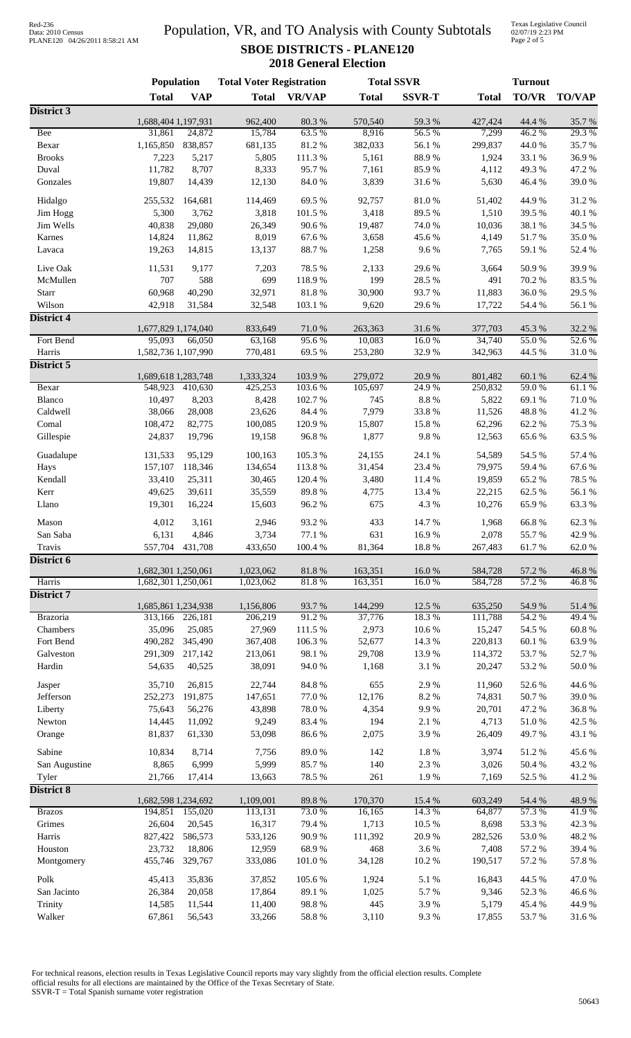## Data: 2010 Census PLANE120 04/26/2011 8:58:21 AM

### Population, VR, and TO Analysis with County Subtotals **SBOE DISTRICTS - PLANE120 2018 General Election**

Texas Legislative Council 02/07/19 2:23 PM Page 2 of 5

|                             | Population          |                   | <b>Total Voter Registration</b> |                  |                  | <b>Total SSVR</b> | <b>Turnout</b>     |                 |                  |
|-----------------------------|---------------------|-------------------|---------------------------------|------------------|------------------|-------------------|--------------------|-----------------|------------------|
|                             | <b>Total</b>        | <b>VAP</b>        | <b>Total</b>                    | <b>VR/VAP</b>    | <b>Total</b>     | <b>SSVR-T</b>     | <b>Total</b>       | TO/VR           | <b>TO/VAP</b>    |
| District 3                  |                     |                   |                                 |                  |                  |                   |                    |                 |                  |
|                             | 1,688,404 1,197,931 |                   | 962,400                         | 80.3%            | 570,540          | 59.3%             | 427,424            | 44.4 %          | 35.7%            |
| <b>Bee</b><br>Bexar         | 31,861<br>1,165,850 | 24,872<br>838,857 | 15,784<br>681,135               | 63.5%<br>81.2%   | 8,916<br>382,033 | 56.5 %<br>56.1%   | 7,299<br>299,837   | 46.2%<br>44.0%  | 29.3 %<br>35.7%  |
| <b>Brooks</b>               | 7,223               | 5,217             | 5,805                           | 111.3%           | 5,161            | 88.9%             | 1,924              | 33.1 %          | 36.9%            |
| Duval                       | 11,782              | 8,707             | 8,333                           | 95.7%            | 7,161            | 85.9%             | 4,112              | 49.3%           | 47.2 %           |
| Gonzales                    | 19,807              | 14,439            | 12,130                          | 84.0%            | 3,839            | 31.6%             | 5,630              | 46.4%           | 39.0%            |
|                             |                     |                   |                                 |                  |                  |                   |                    |                 |                  |
| Hidalgo<br>Jim Hogg         | 255,532<br>5,300    | 164,681<br>3,762  | 114,469<br>3,818                | 69.5%<br>101.5 % | 92,757<br>3,418  | 81.0%<br>89.5%    | 51,402<br>1,510    | 44.9%<br>39.5 % | 31.2%<br>40.1 %  |
| Jim Wells                   | 40,838              | 29,080            | 26,349                          | 90.6%            | 19,487           | 74.0 %            | 10,036             | 38.1 %          | 34.5 %           |
| Karnes                      | 14,824              | 11,862            | 8,019                           | 67.6%            | 3,658            | 45.6%             | 4,149              | 51.7%           | 35.0%            |
| Lavaca                      | 19,263              | 14,815            | 13,137                          | 88.7%            | 1,258            | 9.6%              | 7,765              | 59.1 %          | 52.4 %           |
|                             |                     |                   |                                 |                  |                  |                   |                    |                 |                  |
| Live Oak                    | 11,531              | 9,177             | 7,203                           | 78.5 %           | 2,133            | 29.6%             | 3,664              | 50.9%           | 39.9%            |
| McMullen                    | 707                 | 588               | 699                             | 118.9%           | 199              | 28.5 %            | 491                | 70.2%           | 83.5%            |
| Starr                       | 60,968              | 40,290            | 32,971                          | 81.8%            | 30,900           | 93.7%             | 11,883             | 36.0%           | 29.5 %           |
| Wilson<br><b>District 4</b> | 42,918              | 31,584            | 32,548                          | 103.1 %          | 9,620            | 29.6%             | 17,722             | 54.4 %          | 56.1 %           |
|                             | 1,677,829 1,174,040 |                   | 833,649                         | 71.0%            | 263,363          | 31.6 %            | 377,703            | 45.3 %          | 32.2 %           |
| Fort Bend                   | 95,093              | 66,050            | 63,168                          | 95.6%            | 10,083           | 16.0%             | 34,740             | 55.0%           | 52.6%            |
| Harris                      | 1,582,736 1,107,990 |                   | 770,481                         | 69.5%            | 253,280          | 32.9%             | 342,963            | 44.5 %          | 31.0%            |
| District 5                  |                     |                   |                                 |                  |                  |                   |                    |                 |                  |
|                             | 1,689,618 1,283,748 |                   | 1,333,324                       | 103.9%           | 279,072          | 20.9 %            | 801,482            | 60.1 %          | 62.4 %           |
| Bexar                       | 548,923             | 410,630           | 425,253                         | 103.6%           | 105,697          | 24.9%             | 250,832            | 59.0%           | 61.1%            |
| Blanco                      | 10,497              | 8,203             | 8,428                           | 102.7 %          | 745              | $8.8\ \%$         | 5,822              | 69.1%           | 71.0%            |
| Caldwell                    | 38,066              | 28,008            | 23,626                          | 84.4 %           | 7,979            | 33.8%             | 11,526             | 48.8%           | 41.2%            |
| Comal<br>Gillespie          | 108,472<br>24,837   | 82,775<br>19,796  | 100,085<br>19,158               | 120.9%<br>96.8%  | 15,807<br>1,877  | 15.8 %<br>9.8%    | 62,296<br>12,563   | 62.2%<br>65.6%  | 75.3%<br>63.5%   |
|                             |                     |                   |                                 |                  |                  |                   |                    |                 |                  |
| Guadalupe                   | 131,533             | 95,129            | 100,163                         | 105.3%           | 24,155           | 24.1 %            | 54,589             | 54.5 %          | 57.4 %           |
| Hays                        | 157,107             | 118,346           | 134,654                         | 113.8%           | 31,454           | 23.4 %            | 79,975             | 59.4%           | 67.6%            |
| Kendall                     | 33,410              | 25,311            | 30,465                          | 120.4 %          | 3,480            | 11.4 %            | 19,859             | 65.2%           | 78.5 %           |
| Kerr                        | 49,625              | 39,611            | 35,559                          | 89.8%            | 4,775            | 13.4 %            | 22,215             | 62.5 %          | 56.1 %           |
| Llano                       | 19,301              | 16,224            | 15,603                          | 96.2%            | 675              | 4.3 %             | 10,276             | 65.9%           | 63.3%            |
| Mason                       | 4,012               | 3,161             | 2,946                           | 93.2%            | 433              | 14.7%             | 1,968              | 66.8%           | 62.3%            |
| San Saba                    | 6,131               | 4,846             | 3,734                           | 77.1 %           | 631              | 16.9%             | 2,078              | 55.7%           | 42.9 %           |
| Travis                      | 557,704             | 431,708           | 433,650                         | 100.4 %          | 81,364           | 18.8 %            | 267,483            | 61.7%           | 62.0%            |
| District 6                  | 1,682,301 1,250,061 |                   | 1,023,062                       | $81.8\ \%$       | 163,351          | 16.0%             |                    | 57.2 %          | 46.8%            |
| Harris                      | 1,682,301 1,250,061 |                   | 1,023,062                       | 81.8%            | 163,351          | 16.0%             | 584,728<br>584,728 | 57.2 %          | 46.8%            |
| District 7                  |                     |                   |                                 |                  |                  |                   |                    |                 |                  |
|                             | 1,685,861 1,234,938 |                   | 1,156,806                       | 93.7%            | 144,299          | 12.5 %            | 635,250            | 54.9%           | 51.4%            |
| Brazoria                    | 313,166             | 226,181           | 206,219                         | 91.2%            | 37,776           | 18.3%             | 111,788            | 54.2 %          | 49.4 %           |
| Chambers                    | 35,096              | 25,085            | 27,969                          | 111.5 %          | 2,973            | 10.6%             | 15,247             | 54.5 %          | 60.8%            |
| Fort Bend                   | 490,282             | 345,490           | 367,408                         | 106.3%           | 52,677           | 14.3 %            | 220,813            | 60.1%           | 63.9%            |
| Galveston                   | 291,309             | 217,142           | 213,061                         | 98.1 %           | 29,708           | 13.9%             | 114,372            | 53.7%           | 52.7%            |
| Hardin                      | 54,635              | 40,525            | 38,091                          | 94.0%            | 1,168            | 3.1 %             | 20,247             | 53.2%           | $50.0$ $\%$      |
| Jasper                      | 35,710              | 26,815            | 22,744                          | 84.8 %           | 655              | 2.9%              | 11,960             | 52.6 %          | 44.6 %           |
| Jefferson                   | 252,273             | 191,875           | 147,651                         | 77.0 %           | 12,176           | 8.2 %             | 74,831             | 50.7%           | 39.0%            |
| Liberty                     | 75,643              | 56,276            | 43,898                          | 78.0%            | 4,354            | 9.9%              | 20,701             | 47.2%           | 36.8%            |
| Newton                      | 14,445              | 11,092            | 9,249                           | 83.4%            | 194              | 2.1 %             | 4,713              | 51.0%           | 42.5 %           |
| Orange                      | 81,837              | 61,330            | 53,098                          | 86.6%            | 2,075            | 3.9%              | 26,409             | 49.7%           | 43.1 %           |
| Sabine                      | 10,834              | 8,714             | 7,756                           | 89.0%            | 142              | $1.8\ \%$         | 3,974              | 51.2%           | 45.6 %           |
| San Augustine               | 8,865               | 6,999             | 5,999                           | 85.7%            | 140              | 2.3 %             | 3,026              | 50.4%           | 43.2 %           |
| Tyler                       | 21,766              | 17,414            | 13,663                          | 78.5 %           | 261              | 1.9%              | 7,169              | 52.5 %          | 41.2%            |
| <b>District 8</b>           |                     |                   |                                 |                  |                  |                   |                    |                 |                  |
|                             | 1,682,598 1,234,692 |                   | 1,109,001                       | 89.8 %           | 170,370          | 15.4 %            | 603,249            | 54.4 %          | 48.9%            |
| <b>Brazos</b><br>Grimes     | 194,851<br>26,604   | 155,020           | 113,131                         | 73.0%            | 16,165           | 14.3 %            | 64,877             | 57.3%           | 41.9%            |
| Harris                      | 827,422             | 20,545<br>586,573 | 16,317<br>533,126               | 79.4 %<br>90.9%  | 1,713<br>111,392 | 10.5 %<br>20.9%   | 8,698<br>282,526   | 53.3%<br>53.0%  | 42.3 %<br>48.2 % |
| Houston                     | 23,732              | 18,806            | 12,959                          | 68.9%            | 468              | 3.6 %             | 7,408              | 57.2 %          | 39.4 %           |
| Montgomery                  | 455,746             | 329,767           | 333,086                         | 101.0%           | 34,128           | $10.2~\%$         | 190,517            | 57.2 %          | 57.8 %           |
|                             |                     |                   |                                 |                  |                  |                   |                    |                 |                  |
| Polk                        | 45,413              | 35,836            | 37,852                          | 105.6%           | 1,924            | 5.1 %             | 16,843             | 44.5 %          | 47.0%            |
| San Jacinto                 | 26,384              | 20,058            | 17,864                          | 89.1 %           | 1,025            | 5.7%              | 9,346              | 52.3 %          | 46.6%            |
| Trinity<br>Walker           | 14,585<br>67,861    | 11,544<br>56,543  | 11,400<br>33,266                | 98.8 %<br>58.8%  | 445<br>3,110     | 3.9%<br>9.3%      | 5,179<br>17,855    | 45.4 %<br>53.7% | 44.9%            |
|                             |                     |                   |                                 |                  |                  |                   |                    |                 | 31.6%            |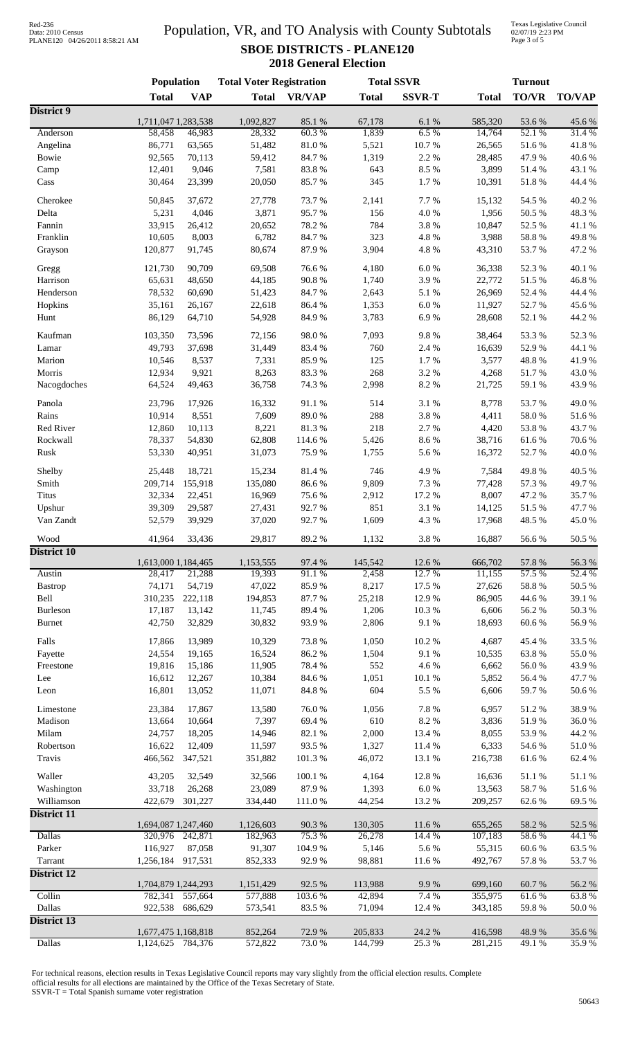## Data: 2010 Census PLANE120 04/26/2011 8:58:21 AM

### Population, VR, and TO Analysis with County Subtotals **SBOE DISTRICTS - PLANE120 2018 General Election**

Texas Legislative Council 02/07/19 2:23 PM Page 3 of 5

|                    | <b>Population</b>              |            | <b>Total Voter Registration</b> |                 |                   | <b>Total SSVR</b> | <b>Turnout</b>     |                |                  |  |
|--------------------|--------------------------------|------------|---------------------------------|-----------------|-------------------|-------------------|--------------------|----------------|------------------|--|
|                    | <b>Total</b>                   | <b>VAP</b> | <b>Total</b>                    | <b>VR/VAP</b>   | <b>Total</b>      | <b>SSVR-T</b>     | <b>Total</b>       | <b>TO/VR</b>   | <b>TO/VAP</b>    |  |
| District 9         | 1,711,047 1,283,538            |            | 1,092,827                       | 85.1%           | 67,178            | 6.1 %             | 585,320            | 53.6%          | 45.6%            |  |
| Anderson           | 58,458                         | 46,983     | 28,332                          | 60.3%           | 1,839             | 6.5%              | 14,764             | 52.1 %         | 31.4%            |  |
| Angelina           | 86,771                         | 63,565     | 51,482                          | 81.0%           | 5,521             | 10.7%             | 26,565             | 51.6%          | 41.8%            |  |
| Bowie              | 92,565                         | 70,113     | 59,412                          | 84.7%           | 1,319             | 2.2 %             | 28,485             | 47.9%          | 40.6%            |  |
| Camp               | 12,401                         | 9,046      | 7,581                           | 83.8%           | 643               | 8.5 %             | 3,899              | 51.4%          | 43.1 %           |  |
| Cass               | 30,464                         | 23,399     | 20,050                          | 85.7%           | 345               | 1.7%              | 10,391             | 51.8%          | 44.4 %           |  |
|                    |                                |            |                                 |                 |                   |                   |                    |                |                  |  |
| Cherokee           | 50,845                         | 37,672     | 27,778                          | 73.7 %<br>95.7% | 2,141<br>156      | 7.7%<br>4.0%      | 15,132             | 54.5 %         | 40.2%<br>48.3%   |  |
| Delta              | 5,231                          | 4,046      | 3,871                           |                 |                   |                   | 1,956              | 50.5 %         |                  |  |
| Fannin             | 33,915                         | 26,412     | 20,652                          | 78.2%           | 784               | 3.8%              | 10,847             | 52.5 %         | 41.1%            |  |
| Franklin           | 10,605                         | 8,003      | 6,782                           | 84.7%<br>87.9%  | 323               | 4.8 %<br>4.8 %    | 3,988              | 58.8%<br>53.7% | 49.8%            |  |
| Grayson            | 120,877                        | 91,745     | 80,674                          |                 | 3,904             |                   | 43,310             |                | 47.2 %           |  |
| Gregg              | 121,730                        | 90,709     | 69,508                          | 76.6%           | 4,180             | $6.0\ \%$         | 36,338             | 52.3 %         | 40.1 %           |  |
| Harrison           | 65,631                         | 48,650     | 44,185                          | 90.8%           | 1,740             | 3.9%              | 22,772             | 51.5%          | 46.8%            |  |
| Henderson          | 78,532                         | 60,690     | 51,423                          | 84.7%           | 2,643             | 5.1 %             | 26,969             | 52.4 %         | 44.4 %           |  |
| Hopkins            | 35,161                         | 26,167     | 22,618                          | 86.4%           | 1,353             | 6.0%              | 11,927             | 52.7%          | 45.6%            |  |
| Hunt               | 86,129                         | 64,710     | 54,928                          | 84.9%           | 3,783             | 6.9%              | 28,608             | 52.1 %         | 44.2 %           |  |
| Kaufman            | 103,350                        | 73,596     | 72,156                          | 98.0%           | 7,093             | 9.8%              | 38,464             | 53.3%          | 52.3%            |  |
| Lamar              | 49,793                         | 37,698     | 31,449                          | 83.4 %          | 760               | 2.4 %             | 16,639             | 52.9%          | 44.1 %           |  |
| Marion             | 10,546                         | 8,537      | 7,331                           | 85.9%           | 125               | 1.7%              | 3,577              | 48.8%          | 41.9%            |  |
| Morris             | 12,934                         | 9,921      | 8,263                           | 83.3%           | 268               | 3.2 %             | 4,268              | 51.7%          | 43.0%            |  |
| Nacogdoches        | 64,524                         | 49,463     | 36,758                          | 74.3 %          | 2,998             | 8.2 %             | 21,725             | 59.1 %         | 43.9%            |  |
|                    |                                |            |                                 |                 |                   |                   |                    |                |                  |  |
| Panola             | 23,796                         | 17,926     | 16,332                          | 91.1%           | 514               | 3.1 %             | 8,778              | 53.7%          | 49.0%            |  |
| Rains              | 10,914                         | 8,551      | 7,609                           | 89.0%           | 288               | 3.8 %             | 4,411              | 58.0%          | 51.6%            |  |
| Red River          | 12,860                         | 10,113     | 8,221                           | 81.3%           | 218               | 2.7%              | 4,420              | 53.8%          | 43.7%            |  |
| Rockwall           | 78,337                         | 54,830     | 62,808                          | 114.6 %         | 5,426             | 8.6%              | 38,716             | 61.6%          | 70.6%            |  |
| Rusk               | 53,330                         | 40,951     | 31,073                          | 75.9%           | 1,755             | 5.6 %             | 16,372             | 52.7%          | 40.0%            |  |
| Shelby             | 25,448                         | 18,721     | 15,234                          | 81.4%           | 746               | 4.9%              | 7,584              | 49.8%          | 40.5 %           |  |
| Smith              | 209,714                        | 155,918    | 135,080                         | 86.6%           | 9,809             | 7.3 %             | 77,428             | 57.3 %         | 49.7%            |  |
| Titus              | 32,334                         | 22,451     | 16,969                          | 75.6%           | 2,912             | 17.2 %            | 8,007              | 47.2%          | 35.7%            |  |
| Upshur             | 39,309                         | 29,587     | 27,431                          | 92.7%           | 851               | 3.1%              | 14,125             | 51.5%          | 47.7%            |  |
| Van Zandt          | 52,579                         | 39,929     | 37,020                          | 92.7%           | 1,609             | 4.3 %             | 17,968             | 48.5 %         | 45.0%            |  |
|                    |                                |            |                                 |                 |                   |                   |                    |                |                  |  |
| Wood               | 41,964                         | 33,436     | 29,817                          | 89.2%           | 1,132             | 3.8%              | 16,887             | 56.6%          | 50.5 %           |  |
| <b>District 10</b> | 1,613,000 1,184,465            |            | 1,153,555                       | 97.4 %          | 145,542           | 12.6 %            | 666,702            | 57.8 %         | 56.3 %           |  |
| Austin             | 28,417                         | 21,288     | 19,393                          | 91.1%           | 2,458             | 12.7 %            | 11,155             | 57.5 %         | 52.4 %           |  |
| <b>Bastrop</b>     | 74,171                         | 54,719     | 47,022                          | 85.9%           | 8,217             | 17.5 %            | 27,626             | 58.8%          | 50.5 %           |  |
| Bell               | 310,235                        | 222,118    | 194,853                         | 87.7%           | 25,218            | 12.9%             | 86,905             | 44.6 %         | 39.1 %           |  |
| Burleson           | 17,187                         | 13,142     | 11,745                          | 89.4%           | 1,206             | 10.3%             | 6,606              | 56.2%          | 50.3 %           |  |
| <b>Burnet</b>      | 42,750                         | 32,829     | 30,832                          | 93.9%           | 2,806             | 9.1 %             | 18,693             | 60.6%          | 56.9%            |  |
|                    |                                |            |                                 |                 |                   |                   |                    |                |                  |  |
| Falls              | 17,866                         | 13,989     | 10,329                          | 73.8%           | 1,050             | 10.2 %            | 4,687              | 45.4 %         | 33.5 %           |  |
| Fayette            | 24,554                         | 19,165     | 16,524                          | 86.2%           | 1,504             | 9.1%              | 10,535             | 63.8%          | 55.0%            |  |
| Freestone          | 19,816                         | 15,186     | 11,905                          | 78.4%           | 552               | 4.6%              | 6,662              | $56.0\;\%$     | 43.9%            |  |
| Lee                | 16,612                         | 12,267     | 10,384                          | 84.6%           | 1,051             | 10.1 %            | 5,852              | 56.4 %         | 47.7 %           |  |
| Leon               | 16,801                         | 13,052     | 11,071                          | 84.8 %          | 604               | 5.5 %             | 6,606              | 59.7%          | $50.6\;\%$       |  |
| Limestone          | 23,384                         | 17,867     | 13,580                          | 76.0%           | 1,056             | 7.8 %             | 6,957              | 51.2%          | 38.9%            |  |
| Madison            | 13,664                         | 10,664     | 7,397                           | 69.4%           | 610               | 8.2%              | 3,836              | 51.9%          | $36.0\;\%$       |  |
| Milam              | 24,757                         | 18,205     | 14,946                          | 82.1 %          | 2,000             | 13.4 %            | 8,055              | 53.9%          | 44.2 %           |  |
| Robertson          | 16,622                         | 12,409     | 11,597                          | 93.5%           | 1,327             | 11.4 %            | 6,333              | 54.6 %         | $51.0\ \%$       |  |
| Travis             | 466,562                        | 347,521    | 351,882                         | 101.3%          | 46,072            | 13.1 %            | 216,738            | 61.6%          | 62.4 %           |  |
|                    |                                |            |                                 |                 |                   |                   |                    |                |                  |  |
| Waller             | 43,205                         | 32,549     | 32,566                          | 100.1%          | 4,164             | 12.8 %            | 16,636             | 51.1 %         | $51.1\text{ }\%$ |  |
| Washington         | 33,718                         | 26,268     | 23,089                          | 87.9%           | 1,393             | $6.0~\%$          | 13,563             | 58.7%          | 51.6 %           |  |
| Williamson         | 422,679                        | 301,227    | 334,440                         | 111.0%          | 44,254            | 13.2 %            | 209,257            | 62.6%          | 69.5 %           |  |
| District 11        |                                |            |                                 |                 |                   |                   |                    |                |                  |  |
| <b>Dallas</b>      | 1,694,087 1,247,460<br>320,976 | 242,871    | 1,126,603<br>182,963            | 90.3%<br>75.3 % | 130,305<br>26,278 | 11.6 %<br>14.4 %  | 655,265<br>107,183 | 58.2%<br>58.6% | 52.5 %<br>44.1 % |  |
| Parker             | 116,927                        | 87,058     | 91,307                          | 104.9%          | 5,146             | 5.6%              | 55,315             | 60.6%          | 63.5%            |  |
| Tarrant            | 1,256,184 917,531              |            | 852,333                         | 92.9%           | 98,881            | 11.6 %            | 492,767            | 57.8 %         | 53.7%            |  |
| <b>District 12</b> |                                |            |                                 |                 |                   |                   |                    |                |                  |  |
|                    | 1,704,879 1,244,293            |            | 1,151,429                       | 92.5 %          | 113,988           | 9.9%              | 699,160            | 60.7%          | 56.2 %           |  |
| Collin             | 782,341                        | 557,664    | 577,888                         | 103.6%          | 42,894            | 7.4 %             | 355,975            | 61.6%          | 63.8%            |  |
| Dallas             | 922,538                        | 686,629    | 573,541                         | 83.5%           | 71,094            | 12.4 %            | 343,185            | 59.8%          | $50.0\;\%$       |  |
| District 13        |                                |            |                                 |                 |                   |                   |                    |                |                  |  |
|                    | 1,677,475 1,168,818            |            | 852,264                         | 72.9%           | 205,833           | 24.2 %            | 416,598            | 48.9%          | 35.6%            |  |
| Dallas             | 1,124,625                      | 784,376    | 572,822                         | 73.0%           | 144,799           | 25.3%             | 281,215            | 49.1 %         | 35.9%            |  |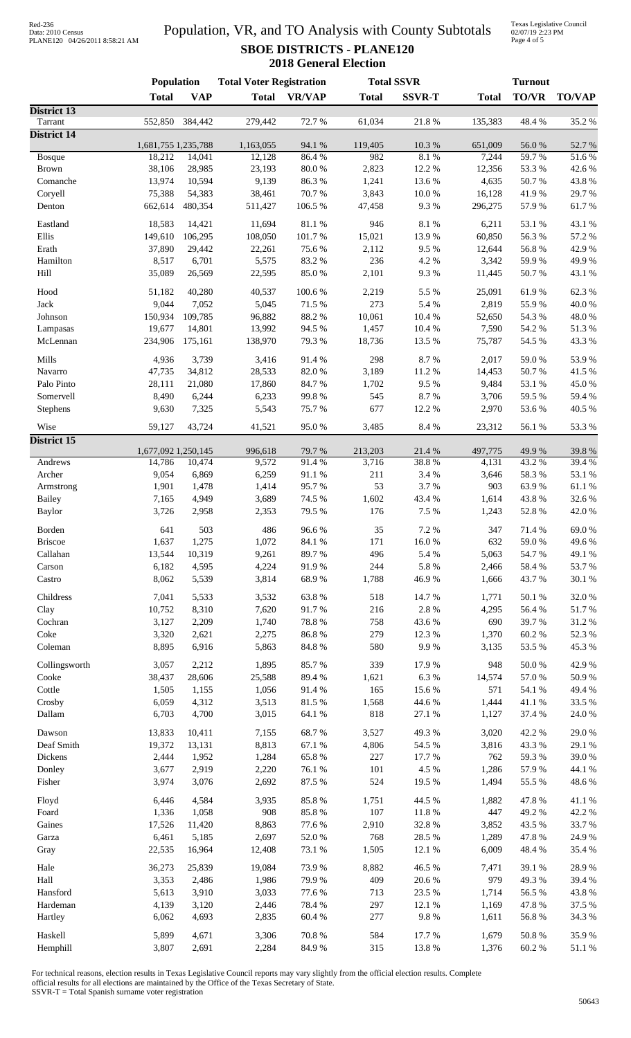# Data: 2010 Census PLANE120 04/26/2011 8:58:21 AM

### Population, VR, and TO Analysis with County Subtotals **SBOE DISTRICTS - PLANE120 2018 General Election**

Texas Legislative Council 02/07/19 2:23 PM Page 4 of 5

|                               | <b>Population</b>   |            | <b>Total Voter Registration</b> |               | <b>Total SSVR</b> |               | <b>Turnout</b> |              |               |
|-------------------------------|---------------------|------------|---------------------------------|---------------|-------------------|---------------|----------------|--------------|---------------|
|                               | <b>Total</b>        | <b>VAP</b> | <b>Total</b>                    | <b>VR/VAP</b> | <b>Total</b>      | <b>SSVR-T</b> | <b>Total</b>   | <b>TO/VR</b> | <b>TO/VAP</b> |
| District 13                   |                     |            |                                 |               |                   |               |                |              |               |
| Tarrant<br><b>District 14</b> | 552,850             | 384,442    | 279,442                         | 72.7 %        | 61,034            | 21.8 %        | 135,383        | 48.4%        | 35.2%         |
|                               | 1,681,755 1,235,788 |            | 1,163,055                       | 94.1 %        | 119,405           | 10.3%         | 651,009        | 56.0%        | 52.7%         |
| Bosque                        | 18,212              | 14,041     | 12,128                          | 86.4%         | 982               | 8.1%          | 7,244          | 59.7%        | 51.6%         |
| <b>Brown</b>                  | 38,106              | 28,985     | 23,193                          | $80.0\;\%$    | 2,823             | 12.2 %        | 12,356         | 53.3%        | 42.6%         |
| Comanche                      | 13,974              | 10,594     | 9,139                           | 86.3%         | 1,241             | 13.6 %        | 4,635          | 50.7%        | 43.8%         |
| Coryell                       | 75,388              | 54,383     | 38,461                          | 70.7%         | 3,843             | 10.0%         | 16,128         | 41.9%        | 29.7%         |
| Denton                        | 662,614             | 480,354    | 511,427                         | 106.5 %       | 47,458            | 9.3%          | 296,275        | 57.9%        | 61.7%         |
|                               |                     |            |                                 |               |                   |               |                |              |               |
| Eastland                      | 18,583              | 14,421     | 11,694                          | 81.1%         | 946               | 8.1 %         | 6,211          | 53.1 %       | 43.1 %        |
| Ellis                         | 149,610             | 106,295    | 108,050                         | 101.7%        | 15,021            | 13.9%         | 60,850         | 56.3%        | 57.2 %        |
| Erath                         | 37,890              | 29,442     | 22,261                          | 75.6%         | 2,112             | 9.5%          | 12,644         | 56.8%        | 42.9%         |
| Hamilton                      | 8,517               | 6,701      | 5,575                           | 83.2%         | 236               | 4.2%          | 3,342          | 59.9%        | 49.9%         |
| Hill                          | 35,089              | 26,569     | 22,595                          | 85.0%         | 2,101             | 9.3%          | 11,445         | 50.7%        | 43.1 %        |
|                               |                     |            |                                 |               |                   |               |                |              |               |
| Hood                          | 51,182              | 40,280     | 40,537                          | 100.6%        | 2,219             | 5.5 %         | 25,091         | 61.9%        | 62.3%         |
| Jack                          | 9,044               | 7,052      | 5,045                           | 71.5 %        | 273               | 5.4 %         | 2,819          | 55.9%        | 40.0%         |
| Johnson                       | 150,934             | 109,785    | 96,882                          | 88.2%         | 10,061            | 10.4 %        | 52,650         | 54.3 %       | 48.0%         |
| Lampasas                      | 19,677              | 14,801     | 13,992                          | 94.5 %        | 1,457             | 10.4 %        | 7,590          | 54.2 %       | 51.3%         |
| McLennan                      | 234,906             | 175,161    | 138,970                         | 79.3%         | 18,736            | 13.5 %        | 75,787         | 54.5 %       | 43.3%         |
|                               |                     |            |                                 |               |                   |               |                |              |               |
| Mills                         | 4,936               | 3,739      | 3,416                           | 91.4%         | 298               | 8.7%          | 2,017          | 59.0%        | 53.9%         |
| Navarro                       | 47,735              | 34,812     | 28,533                          | 82.0%         | 3,189             | 11.2%         | 14,453         | 50.7%        | 41.5 %        |
| Palo Pinto                    | 28,111              | 21,080     | 17,860                          | 84.7%         | 1,702             | 9.5%          | 9,484          | 53.1 %       | 45.0%         |
| Somervell                     | 8,490               | 6,244      | 6,233                           | 99.8%         | 545               | 8.7%          | 3,706          | 59.5 %       | 59.4 %        |
| Stephens                      | 9,630               | 7,325      | 5,543                           | 75.7%         | 677               | 12.2 %        | 2,970          | 53.6%        | 40.5 %        |
|                               |                     | 43,724     |                                 | 95.0%         | 3,485             | 8.4 %         | 23,312         | 56.1 %       | 53.3%         |
| Wise                          | 59,127              |            | 41,521                          |               |                   |               |                |              |               |
| <b>District 15</b>            | 1,677,092 1,250,145 |            | 996,618                         | 79.7 %        | 213,203           | 21.4%         | 497,775        | 49.9%        | 39.8%         |
| Andrews                       | 14,786              | 10,474     | 9,572                           | 91.4%         | 3,716             | 38.8%         | 4,131          | 43.2 %       | 39.4 %        |
|                               |                     |            |                                 |               |                   |               |                |              |               |
| Archer                        | 9,054               | 6,869      | 6,259                           | 91.1%         | 211               | 3.4 %         | 3,646          | 58.3%        | 53.1 %        |
| Armstrong                     | 1,901               | 1,478      | 1,414                           | 95.7%         | 53                | 3.7%          | 903            | 63.9%        | 61.1%         |
| <b>Bailey</b>                 | 7,165               | 4,949      | 3,689                           | 74.5 %        | 1,602             | 43.4 %        | 1,614          | 43.8%        | 32.6%         |
| <b>Baylor</b>                 | 3,726               | 2,958      | 2,353                           | 79.5 %        | 176               | 7.5 %         | 1,243          | 52.8 %       | 42.0%         |
| Borden                        | 641                 | 503        | 486                             | 96.6%         | 35                | 7.2 %         | 347            | 71.4 %       | 69.0%         |
| <b>Briscoe</b>                | 1,637               | 1,275      | 1,072                           | 84.1 %        | 171               | 16.0%         | 632            | 59.0%        | 49.6%         |
|                               |                     |            |                                 |               |                   |               |                |              |               |
| Callahan                      | 13,544              | 10,319     | 9,261                           | 89.7%         | 496               | 5.4 %         | 5,063          | 54.7%        | 49.1 %        |
| Carson                        | 6,182               | 4,595      | 4,224                           | 91.9%         | 244               | 5.8 %         | 2,466          | 58.4%        | 53.7%         |
| Castro                        | 8,062               | 5,539      | 3,814                           | 68.9%         | 1,788             | 46.9%         | 1,666          | 43.7%        | 30.1 %        |
| Childress                     | 7,041               | 5,533      | 3,532                           | 63.8%         | 518               | 14.7%         | 1,771          | 50.1 %       | 32.0%         |
| Clay                          | 10,752              | 8,310      | 7,620                           | 91.7%         | 216               | 2.8 %         | 4,295          | 56.4 %       | 51.7%         |
| Cochran                       | 3,127               | 2,209      | 1,740                           | 78.8 %        | 758               | 43.6%         | 690            | 39.7%        | 31.2%         |
|                               |                     |            |                                 |               | 279               |               |                |              |               |
| Coke                          | 3,320               | 2,621      | 2,275                           | 86.8 %        |                   | 12.3 %        | 1,370          | 60.2%        | 52.3 %        |
| Coleman                       | 8,895               | 6,916      | 5,863                           | 84.8 %        | 580               | 9.9%          | 3,135          | 53.5 %       | 45.3%         |
| Collingsworth                 | 3,057               | 2,212      | 1,895                           | 85.7%         | 339               | 17.9%         | 948            | 50.0%        | 42.9%         |
| Cooke                         | 38,437              | 28,606     | 25,588                          | 89.4%         | 1,621             | 6.3%          | 14,574         | 57.0 %       | 50.9%         |
| Cottle                        | 1,505               | 1,155      | 1,056                           | 91.4%         | 165               | 15.6%         | 571            | 54.1 %       | 49.4%         |
| Crosby                        | 6,059               | 4,312      | 3,513                           | 81.5%         | 1,568             | 44.6 %        | 1,444          | 41.1 %       | 33.5 %        |
| Dallam                        | 6,703               | 4,700      | 3,015                           | 64.1 %        | 818               | 27.1 %        | 1,127          | 37.4 %       | $24.0\;\%$    |
|                               |                     |            |                                 |               |                   |               |                |              |               |
| Dawson                        | 13,833              | 10,411     | 7,155                           | 68.7%         | 3,527             | 49.3%         | 3,020          | 42.2 %       | 29.0%         |
| Deaf Smith                    | 19,372              | 13,131     | 8,813                           | 67.1 %        | 4,806             | 54.5 %        | 3,816          | 43.3 %       | 29.1 %        |
| Dickens                       | 2,444               | 1,952      | 1,284                           | 65.8 %        | 227               | 17.7 %        | 762            | 59.3%        | 39.0%         |
| Donley                        | 3,677               | 2,919      | 2,220                           | 76.1 %        | 101               | 4.5 %         | 1,286          | 57.9%        | 44.1 %        |
| Fisher                        | 3,974               | 3,076      | 2,692                           | 87.5 %        | 524               | 19.5 %        | 1,494          | 55.5 %       | 48.6 %        |
|                               |                     |            |                                 |               |                   |               |                |              |               |
| Floyd                         | 6,446               | 4,584      | 3,935                           | 85.8%         | 1,751             | 44.5 %        | 1,882          | 47.8%        | 41.1 %        |
| Foard                         | 1,336               | 1,058      | 908                             | 85.8%         | $107\,$           | $11.8~\%$     | 447            | 49.2%        | 42.2%         |
| Gaines                        | 17,526              | 11,420     | 8,863                           | 77.6%         | 2,910             | 32.8 %        | 3,852          | 43.5 %       | 33.7%         |
| Garza                         | 6,461               | 5,185      | 2,697                           | 52.0 %        | 768               | 28.5 %        | 1,289          | 47.8%        | 24.9%         |
| Gray                          | 22,535              | 16,964     | 12,408                          | 73.1 %        | 1,505             | 12.1 %        | 6,009          | 48.4%        | 35.4 %        |
|                               |                     |            |                                 |               |                   |               |                |              |               |
| Hale                          | 36,273              | 25,839     | 19,084                          | 73.9%         | 8,882             | 46.5 %        | 7,471          | 39.1 %       | 28.9%         |
| Hall                          | 3,353               | 2,486      | 1,986                           | 79.9%         | 409               | 20.6 %        | 979            | 49.3%        | 39.4%         |
| Hansford                      | 5,613               | 3,910      | 3,033                           | 77.6 %        | 713               | 23.5 %        | 1,714          | 56.5 %       | 43.8%         |
| Hardeman                      | 4,139               | 3,120      | 2,446                           | 78.4%         | 297               | 12.1 %        | 1,169          | 47.8%        | 37.5 %        |
| Hartley                       | 6,062               | 4,693      | 2,835                           | 60.4 %        | $277\,$           | $9.8\ \%$     | 1,611          | 56.8%        | 34.3 %        |
|                               |                     |            |                                 |               |                   |               |                |              |               |
| Haskell                       | 5,899               | 4,671      | 3,306                           | 70.8 %        | 584               | 17.7 %        | 1,679          | 50.8 %       | 35.9%         |
| Hemphill                      | 3,807               | 2,691      | 2,284                           | 84.9 %        | 315               | 13.8 %        | 1,376          | 60.2 %       | 51.1%         |